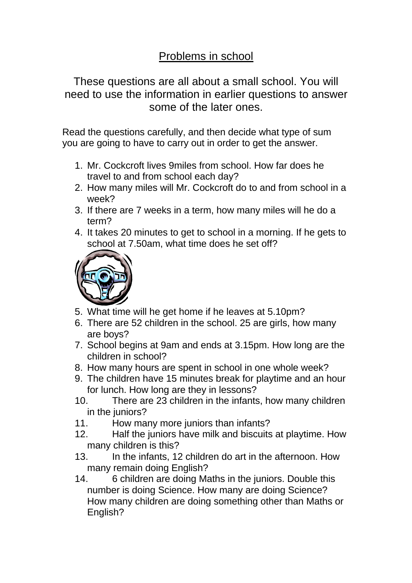## Problems in school

These questions are all about a small school. You will need to use the information in earlier questions to answer some of the later ones.

Read the questions carefully, and then decide what type of sum you are going to have to carry out in order to get the answer.

- 1. Mr. Cockcroft lives 9miles from school. How far does he travel to and from school each day?
- 2. How many miles will Mr. Cockcroft do to and from school in a week?
- 3. If there are 7 weeks in a term, how many miles will he do a term?
- 4. It takes 20 minutes to get to school in a morning. If he gets to school at 7.50am, what time does he set off?



- 5. What time will he get home if he leaves at 5.10pm?
- 6. There are 52 children in the school. 25 are girls, how many are boys?
- 7. School begins at 9am and ends at 3.15pm. How long are the children in school?
- 8. How many hours are spent in school in one whole week?
- 9. The children have 15 minutes break for playtime and an hour for lunch. How long are they in lessons?
- 10. There are 23 children in the infants, how many children in the juniors?
- 11. How many more juniors than infants?
- 12. Half the juniors have milk and biscuits at playtime. How many children is this?
- 13. In the infants, 12 children do art in the afternoon. How many remain doing English?
- 14. 6 children are doing Maths in the juniors. Double this number is doing Science. How many are doing Science? How many children are doing something other than Maths or English?